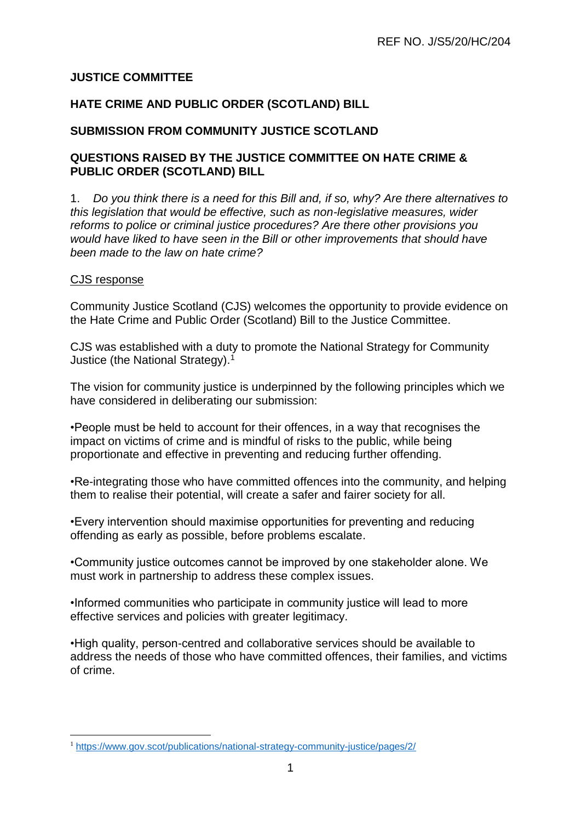## **JUSTICE COMMITTEE**

### **HATE CRIME AND PUBLIC ORDER (SCOTLAND) BILL**

### **SUBMISSION FROM COMMUNITY JUSTICE SCOTLAND**

### **QUESTIONS RAISED BY THE JUSTICE COMMITTEE ON HATE CRIME & PUBLIC ORDER (SCOTLAND) BILL**

1. *Do you think there is a need for this Bill and, if so, why? Are there alternatives to this legislation that would be effective, such as non-legislative measures, wider reforms to police or criminal justice procedures? Are there other provisions you would have liked to have seen in the Bill or other improvements that should have been made to the law on hate crime?*

### CJS response

1

Community Justice Scotland (CJS) welcomes the opportunity to provide evidence on the Hate Crime and Public Order (Scotland) Bill to the Justice Committee.

CJS was established with a duty to promote the National Strategy for Community Justice (the National Strategy).<sup>1</sup>

The vision for community justice is underpinned by the following principles which we have considered in deliberating our submission:

•People must be held to account for their offences, in a way that recognises the impact on victims of crime and is mindful of risks to the public, while being proportionate and effective in preventing and reducing further offending.

•Re-integrating those who have committed offences into the community, and helping them to realise their potential, will create a safer and fairer society for all.

•Every intervention should maximise opportunities for preventing and reducing offending as early as possible, before problems escalate.

•Community justice outcomes cannot be improved by one stakeholder alone. We must work in partnership to address these complex issues.

•Informed communities who participate in community justice will lead to more effective services and policies with greater legitimacy.

•High quality, person-centred and collaborative services should be available to address the needs of those who have committed offences, their families, and victims of crime.

<sup>1</sup> <https://www.gov.scot/publications/national-strategy-community-justice/pages/2/>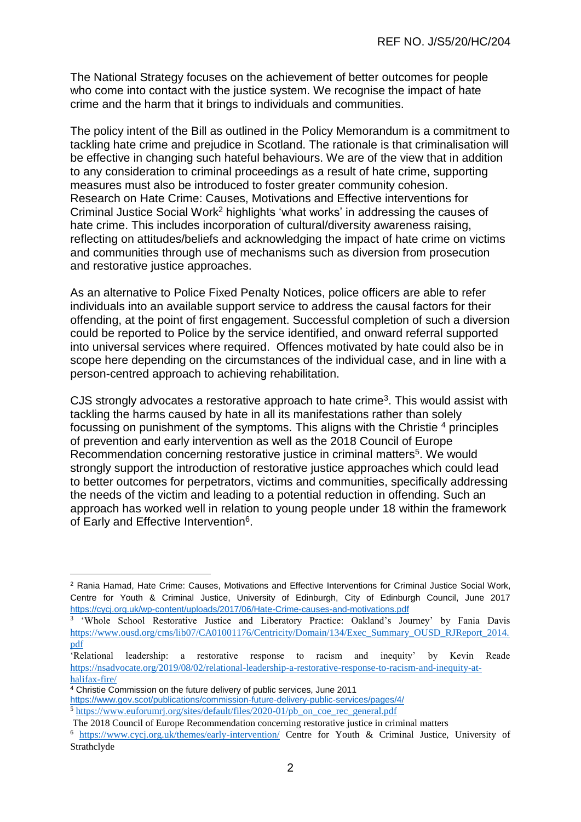The National Strategy focuses on the achievement of better outcomes for people who come into contact with the justice system. We recognise the impact of hate crime and the harm that it brings to individuals and communities.

The policy intent of the Bill as outlined in the Policy Memorandum is a commitment to tackling hate crime and prejudice in Scotland. The rationale is that criminalisation will be effective in changing such hateful behaviours. We are of the view that in addition to any consideration to criminal proceedings as a result of hate crime, supporting measures must also be introduced to foster greater community cohesion. Research on Hate Crime: Causes, Motivations and Effective interventions for Criminal Justice Social Work<sup>2</sup> highlights 'what works' in addressing the causes of hate crime. This includes incorporation of cultural/diversity awareness raising, reflecting on attitudes/beliefs and acknowledging the impact of hate crime on victims and communities through use of mechanisms such as diversion from prosecution and restorative justice approaches.

As an alternative to Police Fixed Penalty Notices, police officers are able to refer individuals into an available support service to address the causal factors for their offending, at the point of first engagement. Successful completion of such a diversion could be reported to Police by the service identified, and onward referral supported into universal services where required. Offences motivated by hate could also be in scope here depending on the circumstances of the individual case, and in line with a person-centred approach to achieving rehabilitation.

CJS strongly advocates a restorative approach to hate crime<sup>3</sup>. This would assist with tackling the harms caused by hate in all its manifestations rather than solely focussing on punishment of the symptoms. This aligns with the Christie <sup>4</sup> principles of prevention and early intervention as well as the 2018 Council of Europe Recommendation concerning restorative justice in criminal matters<sup>5</sup>. We would strongly support the introduction of restorative justice approaches which could lead to better outcomes for perpetrators, victims and communities, specifically addressing the needs of the victim and leading to a potential reduction in offending. Such an approach has worked well in relation to young people under 18 within the framework of Early and Effective Intervention<sup>6</sup>.

<u>.</u>

<sup>2</sup> Rania Hamad, Hate Crime: Causes, Motivations and Effective Interventions for Criminal Justice Social Work, Centre for Youth & Criminal Justice, University of Edinburgh, City of Edinburgh Council, June 2017 <https://cycj.org.uk/wp-content/uploads/2017/06/Hate-Crime-causes-and-motivations.pdf>

<sup>&</sup>lt;sup>3</sup> 'Whole School Restorative Justice and Liberatory Practice: Oakland's Journey' by Fania Davis [https://www.ousd.org/cms/lib07/CA01001176/Centricity/Domain/134/Exec\\_Summary\\_OUSD\\_RJReport\\_2014.](https://www.ousd.org/cms/lib07/CA01001176/Centricity/Domain/134/Exec_Summary_OUSD_RJReport_2014.pdf) [pdf](https://www.ousd.org/cms/lib07/CA01001176/Centricity/Domain/134/Exec_Summary_OUSD_RJReport_2014.pdf)

<sup>&#</sup>x27;Relational leadership: a restorative response to racism and inequity' by Kevin Reade [https://nsadvocate.org/2019/08/02/relational-leadership-a-restorative-response-to-racism-and-inequity-at](https://nsadvocate.org/2019/08/02/relational-leadership-a-restorative-response-to-racism-and-inequity-at-halifax-fire/)[halifax-fire/](https://nsadvocate.org/2019/08/02/relational-leadership-a-restorative-response-to-racism-and-inequity-at-halifax-fire/)

<sup>&</sup>lt;sup>4</sup> Christie Commission on the future delivery of public services, June 2011

<https://www.gov.scot/publications/commission-future-delivery-public-services/pages/4/>

<sup>5</sup> [https://www.euforumrj.org/sites/default/files/2020-01/pb\\_on\\_coe\\_rec\\_general.pdf](https://www.euforumrj.org/sites/default/files/2020-01/pb_on_coe_rec_general.pdf)

The 2018 Council of Europe Recommendation concerning restorative justice in criminal matters

<sup>6</sup> <https://www.cycj.org.uk/themes/early-intervention/> Centre for Youth & Criminal Justice, University of Strathclyde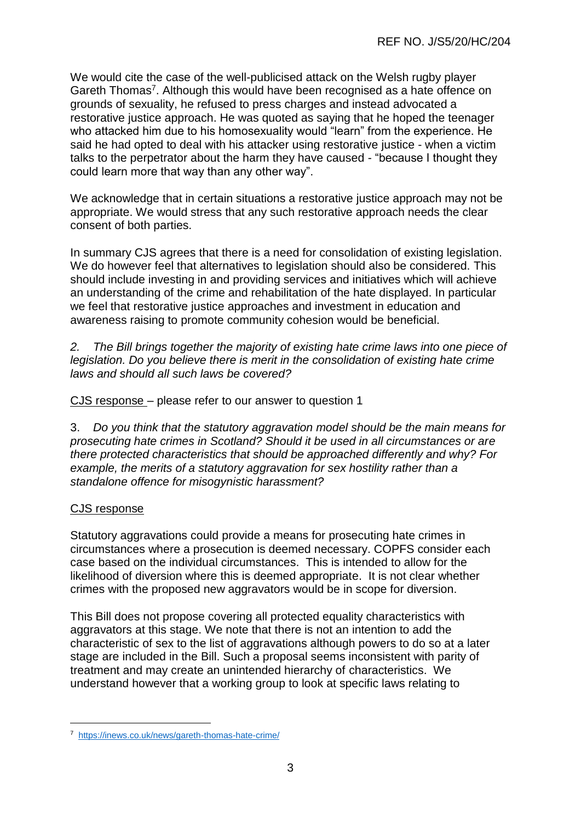We would cite the case of the well-publicised attack on the Welsh rugby player Gareth Thomas<sup>7</sup>. Although this would have been recognised as a hate offence on grounds of sexuality, he refused to press charges and instead advocated a restorative justice approach. He was quoted as saying that he hoped the teenager who attacked him due to his homosexuality would "learn" from the experience. He said he had opted to deal with his attacker using restorative justice - when a victim talks to the perpetrator about the harm they have caused - "because I thought they could learn more that way than any other way".

We acknowledge that in certain situations a restorative justice approach may not be appropriate. We would stress that any such restorative approach needs the clear consent of both parties.

In summary CJS agrees that there is a need for consolidation of existing legislation. We do however feel that alternatives to legislation should also be considered. This should include investing in and providing services and initiatives which will achieve an understanding of the crime and rehabilitation of the hate displayed. In particular we feel that restorative justice approaches and investment in education and awareness raising to promote community cohesion would be beneficial.

*2. The Bill brings together the majority of existing hate crime laws into one piece of legislation. Do you believe there is merit in the consolidation of existing hate crime laws and should all such laws be covered?*

CJS response – please refer to our answer to question 1

3. *Do you think that the statutory aggravation model should be the main means for prosecuting hate crimes in Scotland? Should it be used in all circumstances or are there protected characteristics that should be approached differently and why? For example, the merits of a statutory aggravation for sex hostility rather than a standalone offence for misogynistic harassment?*

### CJS response

1

Statutory aggravations could provide a means for prosecuting hate crimes in circumstances where a prosecution is deemed necessary. COPFS consider each case based on the individual circumstances. This is intended to allow for the likelihood of diversion where this is deemed appropriate. It is not clear whether crimes with the proposed new aggravators would be in scope for diversion.

This Bill does not propose covering all protected equality characteristics with aggravators at this stage. We note that there is not an intention to add the characteristic of sex to the list of aggravations although powers to do so at a later stage are included in the Bill. Such a proposal seems inconsistent with parity of treatment and may create an unintended hierarchy of characteristics. We understand however that a working group to look at specific laws relating to

<sup>7</sup> <https://inews.co.uk/news/gareth-thomas-hate-crime/>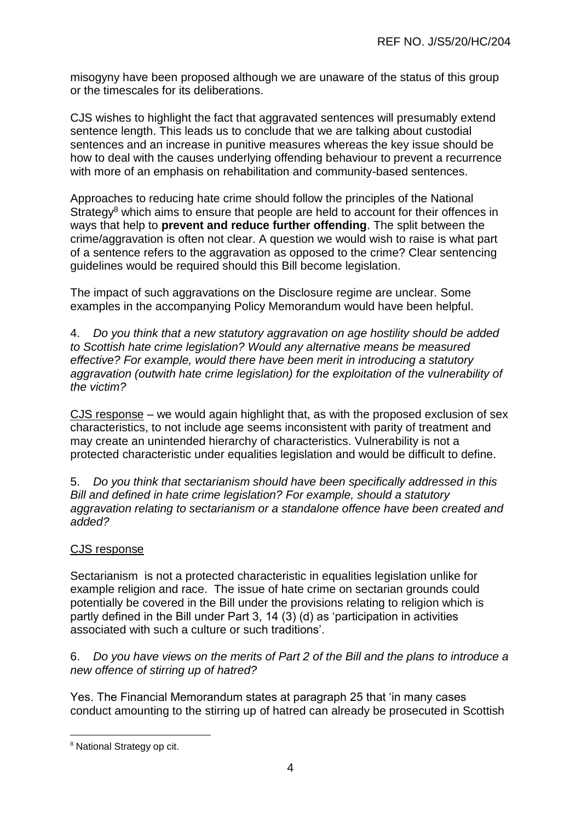misogyny have been proposed although we are unaware of the status of this group or the timescales for its deliberations.

CJS wishes to highlight the fact that aggravated sentences will presumably extend sentence length. This leads us to conclude that we are talking about custodial sentences and an increase in punitive measures whereas the key issue should be how to deal with the causes underlying offending behaviour to prevent a recurrence with more of an emphasis on rehabilitation and community-based sentences.

Approaches to reducing hate crime should follow the principles of the National Strategy<sup>8</sup> which aims to ensure that people are held to account for their offences in ways that help to **prevent and reduce further offending**. The split between the crime/aggravation is often not clear. A question we would wish to raise is what part of a sentence refers to the aggravation as opposed to the crime? Clear sentencing guidelines would be required should this Bill become legislation.

The impact of such aggravations on the Disclosure regime are unclear. Some examples in the accompanying Policy Memorandum would have been helpful.

4. *Do you think that a new statutory aggravation on age hostility should be added to Scottish hate crime legislation? Would any alternative means be measured effective? For example, would there have been merit in introducing a statutory aggravation (outwith hate crime legislation) for the exploitation of the vulnerability of the victim?*

CJS response – we would again highlight that, as with the proposed exclusion of sex characteristics, to not include age seems inconsistent with parity of treatment and may create an unintended hierarchy of characteristics. Vulnerability is not a protected characteristic under equalities legislation and would be difficult to define.

5. *Do you think that sectarianism should have been specifically addressed in this Bill and defined in hate crime legislation? For example, should a statutory aggravation relating to sectarianism or a standalone offence have been created and added?*

# CJS response

Sectarianism is not a protected characteristic in equalities legislation unlike for example religion and race. The issue of hate crime on sectarian grounds could potentially be covered in the Bill under the provisions relating to religion which is partly defined in the Bill under Part 3, 14 (3) (d) as 'participation in activities associated with such a culture or such traditions'.

### 6. *Do you have views on the merits of Part 2 of the Bill and the plans to introduce a new offence of stirring up of hatred?*

Yes. The Financial Memorandum states at paragraph 25 that 'in many cases conduct amounting to the stirring up of hatred can already be prosecuted in Scottish

1

<sup>8</sup> National Strategy op cit.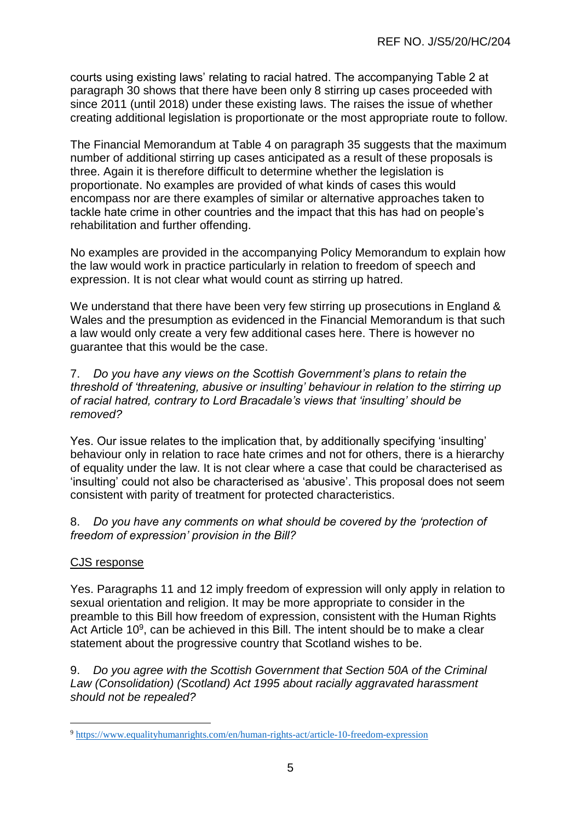courts using existing laws' relating to racial hatred. The accompanying Table 2 at paragraph 30 shows that there have been only 8 stirring up cases proceeded with since 2011 (until 2018) under these existing laws. The raises the issue of whether creating additional legislation is proportionate or the most appropriate route to follow.

The Financial Memorandum at Table 4 on paragraph 35 suggests that the maximum number of additional stirring up cases anticipated as a result of these proposals is three. Again it is therefore difficult to determine whether the legislation is proportionate. No examples are provided of what kinds of cases this would encompass nor are there examples of similar or alternative approaches taken to tackle hate crime in other countries and the impact that this has had on people's rehabilitation and further offending.

No examples are provided in the accompanying Policy Memorandum to explain how the law would work in practice particularly in relation to freedom of speech and expression. It is not clear what would count as stirring up hatred.

We understand that there have been very few stirring up prosecutions in England & Wales and the presumption as evidenced in the Financial Memorandum is that such a law would only create a very few additional cases here. There is however no guarantee that this would be the case.

7. *Do you have any views on the Scottish Government's plans to retain the threshold of 'threatening, abusive or insulting' behaviour in relation to the stirring up of racial hatred, contrary to Lord Bracadale's views that 'insulting' should be removed?*

Yes. Our issue relates to the implication that, by additionally specifying 'insulting' behaviour only in relation to race hate crimes and not for others, there is a hierarchy of equality under the law. It is not clear where a case that could be characterised as 'insulting' could not also be characterised as 'abusive'. This proposal does not seem consistent with parity of treatment for protected characteristics.

### 8. *Do you have any comments on what should be covered by the 'protection of freedom of expression' provision in the Bill?*

### CJS response

1

Yes. Paragraphs 11 and 12 imply freedom of expression will only apply in relation to sexual orientation and religion. It may be more appropriate to consider in the preamble to this Bill how freedom of expression, consistent with the Human Rights Act Article  $10<sup>9</sup>$ , can be achieved in this Bill. The intent should be to make a clear statement about the progressive country that Scotland wishes to be.

9. *Do you agree with the Scottish Government that Section 50A of the Criminal Law (Consolidation) (Scotland) Act 1995 about racially aggravated harassment should not be repealed?*

<sup>9</sup> <https://www.equalityhumanrights.com/en/human-rights-act/article-10-freedom-expression>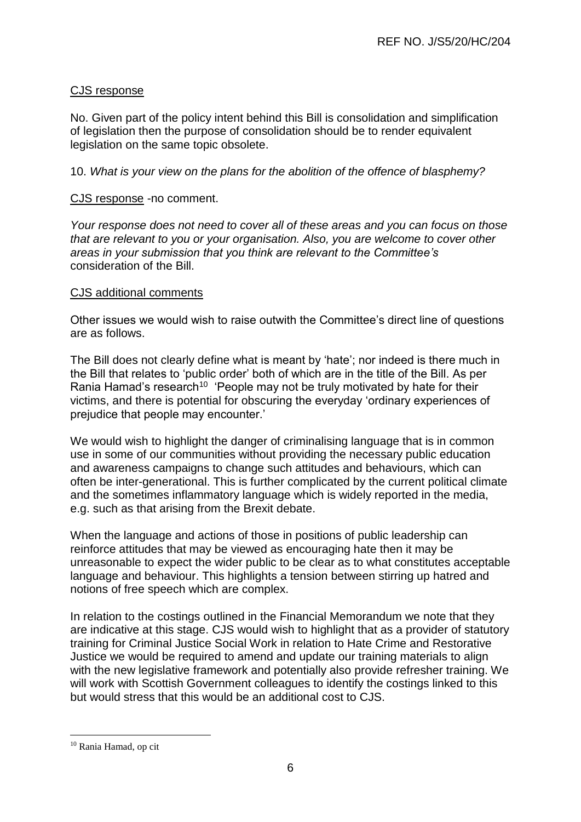### CJS response

No. Given part of the policy intent behind this Bill is consolidation and simplification of legislation then the purpose of consolidation should be to render equivalent legislation on the same topic obsolete.

10. *What is your view on the plans for the abolition of the offence of blasphemy?* 

### CJS response -no comment.

*Your response does not need to cover all of these areas and you can focus on those that are relevant to you or your organisation. Also, you are welcome to cover other areas in your submission that you think are relevant to the Committee's* consideration of the Bill.

#### CJS additional comments

Other issues we would wish to raise outwith the Committee's direct line of questions are as follows.

The Bill does not clearly define what is meant by 'hate'; nor indeed is there much in the Bill that relates to 'public order' both of which are in the title of the Bill. As per Rania Hamad's research<sup>10</sup> 'People may not be truly motivated by hate for their victims, and there is potential for obscuring the everyday 'ordinary experiences of prejudice that people may encounter.'

We would wish to highlight the danger of criminalising language that is in common use in some of our communities without providing the necessary public education and awareness campaigns to change such attitudes and behaviours, which can often be inter-generational. This is further complicated by the current political climate and the sometimes inflammatory language which is widely reported in the media, e.g. such as that arising from the Brexit debate.

When the language and actions of those in positions of public leadership can reinforce attitudes that may be viewed as encouraging hate then it may be unreasonable to expect the wider public to be clear as to what constitutes acceptable language and behaviour. This highlights a tension between stirring up hatred and notions of free speech which are complex.

In relation to the costings outlined in the Financial Memorandum we note that they are indicative at this stage. CJS would wish to highlight that as a provider of statutory training for Criminal Justice Social Work in relation to Hate Crime and Restorative Justice we would be required to amend and update our training materials to align with the new legislative framework and potentially also provide refresher training. We will work with Scottish Government colleagues to identify the costings linked to this but would stress that this would be an additional cost to CJS.

1

<sup>10</sup> Rania Hamad, op cit